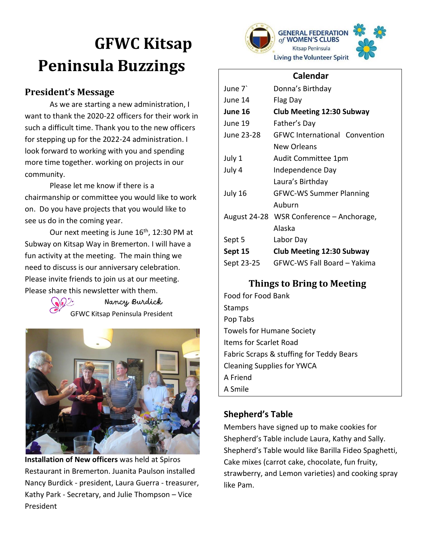# **GFWC Kitsap Peninsula Buzzings**

# **President's Message**

As we are starting a new administration, I want to thank the 2020-22 officers for their work in such a difficult time. Thank you to the new officers for stepping up for the 2022-24 administration. I look forward to working with you and spending more time together. working on projects in our community.

Please let me know if there is a chairmanship or committee you would like to work on. Do you have projects that you would like to see us do in the coming year.

Our next meeting is June  $16<sup>th</sup>$ , 12:30 PM at Subway on Kitsap Way in Bremerton. I will have a fun activity at the meeting. The main thing we need to discuss is our anniversary celebration. Please invite friends to join us at our meeting. Please share this newsletter with them.

> Nancy Burdick GFWC Kitsap Peninsula President



**Installation of New officers** was held at Spiros Restaurant in Bremerton. Juanita Paulson installed Nancy Burdick - president, Laura Guerra - treasurer, Kathy Park - Secretary, and Julie Thompson – Vice President



### **Calendar**

| June 7       | Donna's Birthday                     |
|--------------|--------------------------------------|
| June 14      | Flag Day                             |
| June 16      | <b>Club Meeting 12:30 Subway</b>     |
| June 19      | Father's Day                         |
| June 23-28   | <b>GFWC International Convention</b> |
|              | New Orleans                          |
| July 1       | Audit Committee 1pm                  |
| July 4       | Independence Day                     |
|              | Laura's Birthday                     |
| July 16      | <b>GFWC-WS Summer Planning</b>       |
|              | Auburn                               |
| August 24-28 | WSR Conference – Anchorage,          |
|              | Alaska                               |
| Sept 5       | Labor Day                            |
| Sept 15      | <b>Club Meeting 12:30 Subway</b>     |
| Sept 23-25   | GFWC-WS Fall Board – Yakima          |
|              |                                      |

# **Things to Bring to Meeting**

Food for Food Bank **Stamps** Pop Tabs Towels for Humane Society Items for Scarlet Road Fabric Scraps & stuffing for Teddy Bears Cleaning Supplies for YWCA A Friend A Smile

## **Shepherd's Table**

Members have signed up to make cookies for Shepherd's Table include Laura, Kathy and Sally. Shepherd's Table would like Barilla Fideo Spaghetti, Cake mixes (carrot cake, chocolate, fun fruity, strawberry, and Lemon varieties) and cooking spray like Pam.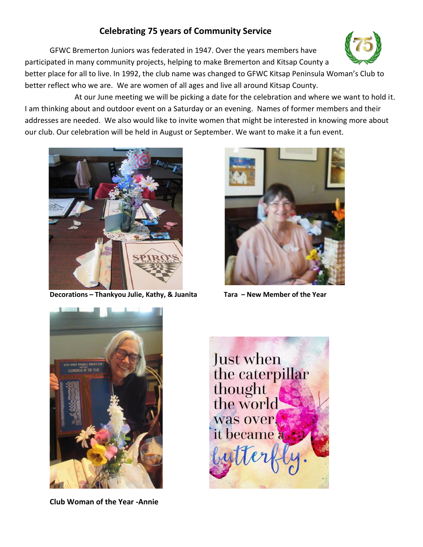## **Celebrating 75 years of Community Service**

GFWC Bremerton Juniors was federated in 1947. Over the years members have participated in many community projects, helping to make Bremerton and Kitsap County a



At our June meeting we will be picking a date for the celebration and where we want to hold it. I am thinking about and outdoor event on a Saturday or an evening. Names of former members and their addresses are needed. We also would like to invite women that might be interested in knowing more about our club. Our celebration will be held in August or September. We want to make it a fun event.



**Decorations – Thankyou Julie, Kathy, & Juanita Tara – New Member of the Year**





**Club Woman of the Year -Annie**